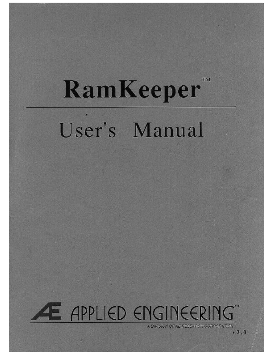# **TM** RamKeeper User's Manual



A DIVISION OF AE RESEARCH CORRORATION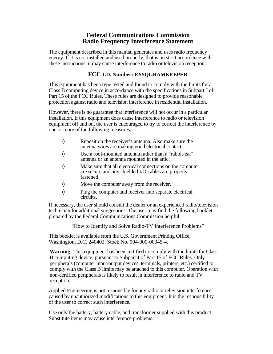#### **Federal Communications Commission Radio Frequency Interference Statement**

The equipment described in this manual generates and uses radio frequency energy. If it is not installed and used properly, that is, in strict accordance with these instructions, it may cause interference to radio or television reception.

#### **FCC I.D. Number: EY5QGRAMKEEPER**

This equipment has been type tested and found to comply with the limits for a Class B computing device in accordance with the specifications in Subpart J of Part 15 of the FCC Rules. These rules are designed to provide reasonable protection against radio and television interference in residential installation.

However, there is no guarantee that interference will not occur in a particular installation. If this equipment does cause interference to radio or television equipment off and on, the user is encouraged to try to correct the interference by one or more of the following measures:

> Reposition the receiver's antenna. Also make sure the antenna wires are making good electrical contact.

> Use a roof-mounted antenna rather than a "rabbit-ear" antenna or an antenna mounted in the attic.

Make sure that all electrical connections on the computer are secure and any shielded I/O cables are properly fastened.

Move the computer away from the receiver.

Plug the computer and receiver into separate electrical circuits.

If necessary, the user should consult the dealer or an experienced radio/television technician for additional suggestions. The user may find the following booklet prepared by the Federal Communications Commission helpful:

"How to Identify and Solve Radio-TV Interference Problems"

This booklet is available from the U.S. Government Printing Office, Washington, D.C. 240402, Stock No. 004-000-00345-4.

**Warning**: This equipment has been certified to comply with the limits for Class B computing device, pursuant to Subpart J of Part 15 of FCC Rules. Only peripherals (computer input/output devices, terminals, printers, etc.) certified to comply with the Class B limits may be attached to this computer. Operation with non-certified peripherals is likely to result in interference to radio and TV reception.

Applied Engineering is not responsible for any radio or television interference caused by unauthorized modifications to this equipment. It is the responsibility of the user to correct such interference.

Use only the battery, battery cable, and transformer supplied with this product. Substitute items may cause interference problems.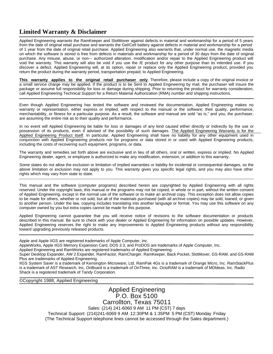### **Limited Warranty & Disclaimer**

Applied Engineering warrants the RamKeeper and SlotMover against defects in material and workmanship for a period of 5 years from the date of original retail purchase and warrants the Gel/Cell battery against defects in material and workmanship for a period of 1 year from the date of original retail purchase. Applied Engineering also warrants that, under normal use, the magnetic media on which the software is stored is free from defects in materials and workmanship for a period of 30 days from the date of original purchase. Any misuse, abuse, or non-~ authorized alteration, modification and/or repair to the Applied Engineering product will void the warranty. This warranty will also be void if you use the /E product for any other purpose than its intended use. If you discover a defect, Applied Engineering will, at its option, repair or replace only the Applied Engineering product, provided you return the product during the warranty period, transportation prepaid, to Applied Engineering.

**This warranty applies to the original retail purchaser only**. Therefore, please include a copy of the original invoice or a small service charge may be applied. If the product is to be Sent to Applied Engineering by mail, the purchaser will insure the package or assume full responsibility for loss or damage during shipping. Prior to returning the product for warranty consideration, call Applied Engineering Technical Support for a Return Material Authorization (RMA) number and shipping instructions.

Even though Applied Engineering has tested the software and reviewed the documentation, Applied Engineering makes no warranty or representation, either express or implied, with respect to the manual or the software; their quality, performance, merchantability, or fitness for a particular purpose. As a result, the software and manual are sold "as is," and you, the purchaser, are assuming the entire risk as to their quality and performance.

In no event will Applied Engineering be liable for loss or damages of any kind caused either directly or indirectly by the use or possession of its products, even if advised of the possibility of such damages. The Applied Engineering Warranty is for the Applied Engineering Product itself. In particular, Applied Engineering shall have no liability for any other equipment used in conjunction with Applied Engineering products nor for programs or data stored in or used with Applied Engineering products, including the costs of recovering such equipment, programs, or data.

The warranty and remedies set forth above are exclusive and in lieu of all others, oral or written, express or implied. No Applied Engineering dealer, agent, or employee is authorized to make any modification, extension, or addition to this warranty.

Some states do not allow the exclusion or limitation of implied warranties or liability for incidental or consequential damages, so the above limitation or exclusion may not apply to you. This warranty gives you specific legal rights, and you may also have other rights which may vary from state to state.

This manual and the software (computer programs) described herein are copyrighted by Applied Engineering with all rights reserved. Under the copyright laws, this manual or the programs may not be copied, in whole or in part, without the written consent of Applied Engineering, except in the normal use of the software or to make an archival copy. This exception does not allow copies to be made for others, whether or not sold, but all of the materials purchased (with all archive copies) may be sold, loaned, or given to another person. Under the law, copying includes translating into another language or format. You may use this software on any computer owned by you but extra copies cannot be made for this purpose.

Applied Engineering cannot guarantee that you will receive notice of revisions to the software documentation or products described in this manual. Be sure to check with your dealer or Applied Engineering for information on possible updates. However, Applied Engineering reserves the right to make any improvements to Applied Engineering products without any responsibility toward upgrading previously released products.

Apple and Apple IIGS are registered trademarks of Apple Computer, Inc.

AppleWorks, Apple IIGS Memory Expansion Card, DOS 3.3, and ProDOS are trademarks of Apple Computer, Inc.

Applied Engineering and RamWorks are registered trademarks of Applied Engineering.

Super Desktop Expander, AW 2 Expander, RamFactor, RamCharger, RamKeeper, Back Pocket, SlotMover, GS-RAM, and GS-RAM Plus are trademarks of Applied Engineering.

IIGS System Saver is a trademark of Kensington Microware, Ltd. RamPak 4Gs is a trademark of Orange Micro, Inc. RamStackPlus is a trademark of AST Research, Inc. OnBoard is a trademark of OnThree, Inc. OctoRAM is a trademark of MDldeas, Inc. Radio Shack is a registered trademark of Tandy Corporation.

#### ©Copyright 1988, Applied Engineering

Applied Engineering P.O. Box 5100 Carrollton, Texas 75011 Sales: (214) 241-6060 9 AM - 11 PM (CST) 7 days Technical Support: (214)241-6069 9 AM 12:30PM & 1:35PM 5 PM (CST) Monday Friday (The Technical Support telephone lines cannot be accessed through the Sales department.)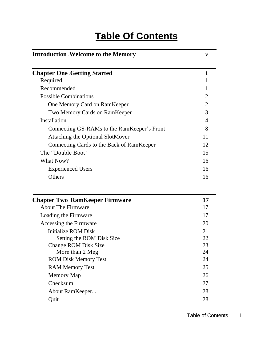### **Table Of Contents**

### **Introduction Welcome to the Memory V**

| 2                           |
|-----------------------------|
| $\mathcal{D}_{\mathcal{L}}$ |
| 3                           |
| 4                           |
| 8                           |
| 11                          |
| 12                          |
| 15                          |
| 16                          |
| 16                          |
| 16                          |
|                             |

| <b>Chapter Two RamKeeper Firmware</b> | 17 |
|---------------------------------------|----|
| <b>About The Firmware</b>             | 17 |
| Loading the Firmware                  | 17 |
| Accessing the Firmware                | 20 |
| Initialize ROM Disk                   | 21 |
| Setting the ROM Disk Size             | 22 |
| <b>Change ROM Disk Size</b>           | 23 |
| More than 2 Meg                       | 24 |
| <b>ROM Disk Memory Test</b>           | 24 |
| <b>RAM Memory Test</b>                | 25 |
| Memory Map                            | 26 |
| Checksum                              | 27 |
| About RamKeeper                       | 28 |
| Quit                                  | 28 |

Table of Contents I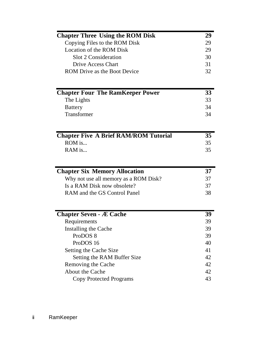| <b>Chapter Three Using the ROM Disk</b>      | 29 |
|----------------------------------------------|----|
| Copying Files to the ROM Disk                | 29 |
| Location of the ROM Disk                     | 29 |
| Slot 2 Consideration                         | 30 |
| <b>Drive Access Chart</b>                    | 31 |
| <b>ROM Drive as the Boot Device</b>          | 32 |
|                                              |    |
| <b>Chapter Four The RamKeeper Power</b>      | 33 |
| The Lights                                   | 33 |
| <b>Battery</b>                               | 34 |
| Transformer                                  | 34 |
|                                              |    |
| <b>Chapter Five A Brief RAM/ROM Tutorial</b> | 35 |
| ROM is                                       | 35 |
| RAM is                                       | 35 |
|                                              |    |
| <b>Chapter Six Memory Allocation</b>         | 37 |
| Why not use all memory as a ROM Disk?        | 37 |
| Is a RAM Disk now obsolete?                  | 37 |
| RAM and the GS Control Panel                 | 38 |
|                                              |    |
| <b>Chapter Seven - Æ Cache</b>               | 39 |
| Requirements                                 | 39 |
| Installing the Cache                         | 39 |
| ProDOS <sub>8</sub>                          | 39 |
|                                              |    |
| ProDOS <sub>16</sub>                         | 40 |
| Setting the Cache Size                       | 41 |
| Setting the RAM Buffer Size                  | 42 |
| Removing the Cache                           | 42 |
| <b>About the Cache</b>                       | 42 |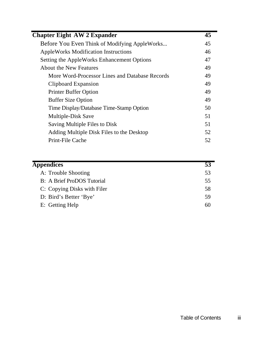| <b>Chapter Eight AW 2 Expander</b>             | 45 |
|------------------------------------------------|----|
| Before You Even Think of Modifying AppleWorks  | 45 |
| <b>AppleWorks Modification Instructions</b>    | 46 |
| Setting the AppleWorks Enhancement Options     | 47 |
| <b>About the New Features</b>                  | 49 |
| More Word-Processor Lines and Database Records | 49 |
| Clipboard Expansion                            | 49 |
| <b>Printer Buffer Option</b>                   | 49 |
| <b>Buffer Size Option</b>                      | 49 |
| Time Display/Database Time-Stamp Option        | 50 |
| <b>Multiple-Disk Save</b>                      | 51 |
| Saving Multiple Files to Disk                  | 51 |
| Adding Multiple Disk Files to the Desktop      | 52 |
| Print-File Cache                               | 52 |

| 53 |
|----|
| 53 |
| 55 |
| 58 |
| 59 |
| 60 |
|    |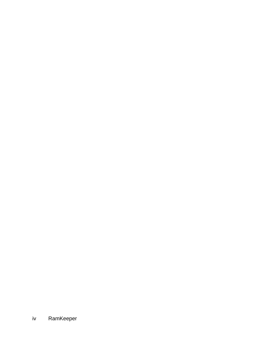### iv RamKeeper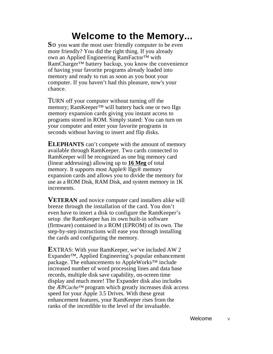### **Welcome to the Memory...**

<span id="page-7-0"></span>**S**o you want the most user friendly computer to be even more friendly? You did the right thing. If you already own an Applied Engineering RamFactor™ with RamCharger™ battery backup, you know the convenience of having your favorite programs already loaded into memory and ready to run as soon as you boot your computer. If you haven't had this pleasure, now's your chance.

TURN off your computer without turning off the memory; RamKeeper<sup>™</sup> will battery back one or two IIgs memory expansion cards giving you instant access to programs stored in ROM. Simply stated: You can turn on your computer and enter your favorite programs in seconds without having to insert and flip disks.

**ELEPHANTS** can't compete with the amount of memory available through RamKeeper. Two cards connected to RamKeeper will be recognized as one big memory card (linear addressing) allowing up to **16 Meg** of total memory. It supports most Apple® IIgs® memory expansion cards and allows you to divide the memory for use as a ROM Disk, RAM Disk, and system memory in 1K increments.

**VETERAN** and novice computer card installers alike will breeze through the installation of the card. You don't even have to insert a disk to configure the RamKeeper's setup the RamKeeper has its own built-in software (firmware) contained in a ROM (EPROM) of its own. The step-by-step instructions will ease you through installing the cards and configuring the memory.

**E**XTRAS: With your RamKeeper, we've included AW 2 Expander™, Applied Engineering's popular enhancement package. The enhancements to AppleWorks™ include increased number of word processing lines and data base records, multiple disk save capability, on-screen time display and much more! The Expander disk also includes the *Æ*≡*Cache*™ program which greatly increases disk access speed for your Apple 3.5 Drives. With these great enhancement features, your RamKeeper rises from the ranks of the incredible to the level of the invaluable.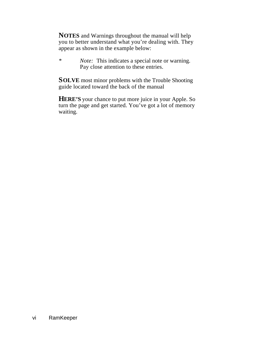**NOTES** and Warnings throughout the manual will help you to better understand what you're dealing with. They appear as shown in the example below:

*\* Note:* This indicates a special note or warning. Pay close attention to these entries.

**SOLVE** most minor problems with the Trouble Shooting guide located toward the back of the manual

**HERE'S** your chance to put more juice in your Apple. So turn the page and get started. You've got a lot of memory waiting.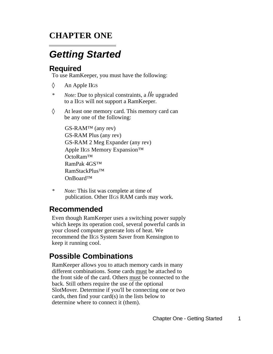### <span id="page-9-0"></span>**CHAPTER ONE**

## *Getting Started*

### **Required**

To use RamKeeper, you must have the following:

An Apple IIGS

*\* Note:* Due to physical constraints, a //e upgraded to a IIGS will not support a RamKeeper.

At least one memory card. This memory card can be any one of the following:

GS-RAM™ (any rev) GS-RAM Plus (any rev) GS-RAM 2 Meg Expander (any rev) Apple IIGS Memory Expansion™ OctoRam™ RamPak 4GS™ RamStackPlus™ OnBoard™

*\* Note:* This list was complete at time of publication. Other IIGS RAM cards may work.

### **Recommended**

Even though RamKeeper uses a switching power supply which keeps its operation cool, several powerful cards in your closed computer generate lots of heat. We recommend the IIGS System Saver from Kensington to keep it running cool.

### **Possible Combinations**

RamKeeper allows you to attach memory cards in many different combinations. Some cards must be attached to the front side of the card. Others must be connected to the back. Still others require the use of the optional SlotMover. Determine if you'll be connecting one or two cards, then find your card(s) in the lists below to determine where to connect it (them).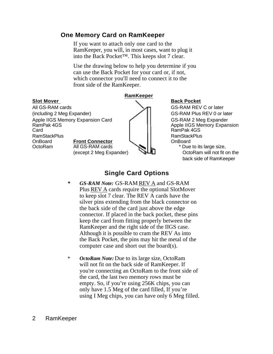### <span id="page-10-0"></span> **One Memory Card on RamKeeper**

If you want to attach only one card to the RamKeeper, you will, in most cases, want to plug it into the Back Pocket™. This keeps slot 7 clear.

Use the drawing below to help you determine if you can use the Back Pocket for your card or, if not, which connector you'll need to connect it to the front side of the RamKeeper.

All GS-RAM cards GS-RAM cards GS-RAM REV C or later (including 2 Meg Expander) GS-RAM Plus REV 0 or later Apple IIGS Memory Expansion Card **GS-RAM 2 Meg Expander** RamPak 4GS **Apple IIGS Memory Expansion**<br>Card **RamPak 4GS** RamStackPlus RamStackPlus OnBoard **Front Connector** OnBoard OctoRam All GS-RAM cards \* Due to its large size,



RamPak 4GS (except 2 Meg Expander)  $\blacksquare$  OctoRam will not fit on the back side of RamKeeper

### **Single Card Options**

- *\* GS-RAM Note:* GS-RAM REV A and GS-RAM Plus REV A cards require the optional SlotMover to keep slot 7 clear. The REV A cards have the silver pins extending from the black connector on the back side of the card just above the edge connector. If placed in the back pocket, these pins keep the card from fitting properly between the RamKeeper and the right side of the IIGS case. Although it is possible to cram the REV As into the Back Pocket, the pins may hit the metal of the computer case and short out the board(s).
- \* *OctoRam Note:* Due to its large size, OctoRam will not fit on the back side of RamKeeper. If you're connecting an OctoRam to the front side of the card, the last two memory rows must be empty. So, if you're using 256K chips, you can only have 1.5 Meg of the card filled, If you're using I Meg chips, you can have only 6 Meg filled.

#### 2 RamKeeper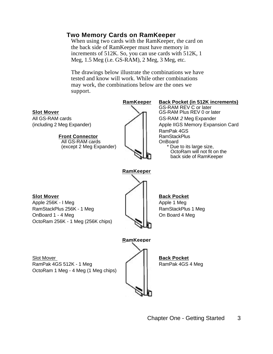### <span id="page-11-0"></span>**Two Memory Cards on RamKeeper**

When using two cards with the RamKeeper, the card on the back side of RamKeeper must have memory in increments of 512K. So, you can use cards with 512K, 1 Meg, 1.5 Meg (i.e. GS-RAM), 2 Meg, 3 Meg, etc.

The drawings below illustrate the combinations we have tested and know will work. While other combinations may work, the combinations below are the ones we support.

All GS-RAM cards GS-RAM 2 Meg Expander

**Front Connector**  $\vert$  | RamStackPlus All GS-RAM cards **I II** OnBoard (except 2 Meg Expander) \* Due to its large size,



GS-RAM REV C or later **Slot Mover** GS-RAM Plus REV 0 or later (including 2 Meg Expander)  $\left\{\begin{array}{c|c} \end{array}\right\}$  Apple IIGS Memory Expansion Card RamPak 4GS

OctoRam will not fit on the back side of RamKeeper

**Slot Mover Back Pocket** Apple 256K - I Meg Apple 256K - I Meg RamStackPlus 256K - 1 Meg RamStackPlus 1 Meg OnBoard 1 - 4 Meg Conboard 1 - 4 Meg OctoRam 256K - 1 Meg (256K chips)



**RamKeeper**

Slot Mover **Back Pocket** 

RamPak 4GS 512K - 1 Meg $\begin{matrix} \begin{matrix} 1 \end{matrix} & \begin{matrix} 1 \end{matrix} & \begin{matrix} 1 \end{matrix} & \begin{matrix} 1 \end{matrix} & \begin{matrix} 1 \end{matrix} & \begin{matrix} 1 \end{matrix} & \begin{matrix} 1 \end{matrix} & \begin{matrix} 1 \end{matrix} & \begin{matrix} 1 \end{matrix} & \begin{matrix} 1 \end{matrix} & \begin{matrix} 1 \end{matrix} & \begin{matrix} 1 \end{matrix} & \begin{matrix} 1 \end{matrix} & \begin{matrix} 1 \end{matrix} & \begin{matrix} 1 \end{$ OctoRam 1 Meg - 4 Meg (1 Meg chips)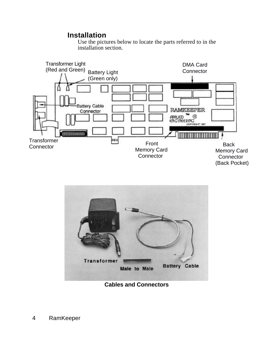### **Installation**

Use the pictures below to locate the parts referred to in the installation section.

<span id="page-12-0"></span>



#### **Cables and Connectors**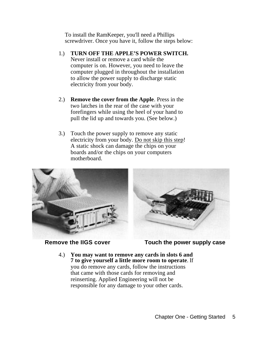To install the RamKeeper, you'll need a Phillips screwdriver. Once you have it, follow the steps below:

- 1.) **TURN OFF THE APPLE'S POWER SWITCH.** Never install or remove a card while the computer is on. However, you need to leave the computer plugged in throughout the installation to allow the power supply to discharge static electricity from your body.
- 2.) **Remove the cover from the Apple**. Press in the two latches in the rear of the case with your forefingers while using the heel of your hand to pull the lid up and towards you. (See below.)
- 3.) Touch the power supply to remove any static electricity from your body. Do not skip this step! A static shock can damage the chips on your boards and/or the chips on your computers motherboard.



Remove the IIGS cover **Touch the power supply case** 

4.) **You may want to remove any cards in slots 6 and 7 to give yourself a little more room to operate**. If you do remove any cards, follow the instructions that came with those cards for removing and reinserting. Applied Engineering will not be responsible for any damage to your other cards.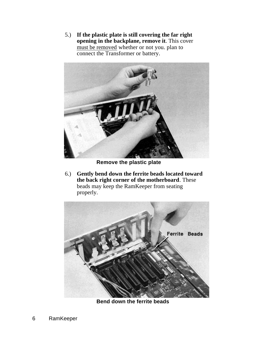5.) **If the plastic plate is still covering the far right opening in the backplane, remove it**. This cover must be removed whether or not you. plan to connect the Transformer or battery.



**Remove the plastic plate**

6.) **Gently bend down the ferrite beads located toward the back right corner of the motherboard**. These beads may keep the RamKeeper from seating properly.



**Bend down the ferrite beads**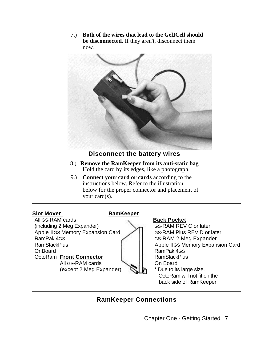7.) **Both of the wires that lead to the GelICell should be disconnected**. If they aren't, disconnect them now.



#### **Disconnect the battery wires**

- 8.) **Remove the RamKeeper from its anti-static bag**. Hold the card by its edges, like a photograph.
- 9.) **Connect your card or cards** according to the instructions below. Refer to the illustration below for the proper connector and placement of your card(s).

#### **Slot Mover** RamKeeper

All GS-RAM cards **Back Pocket** (including 2 Meg Expander) GS-RAM REV C or later Apple IIGS Memory Expansion Card  $\Box$  GS-RAM Plus REV D or later RamPak 4GS GS-RAM 2 Meg Expander RamStackPlus **Apple IIGS Memory Expansion Card** OnBoard **RamPak 4GS OctoRam Front Connector** RamStackPlus All GS-RAM cards **All Con Board** (except 2 Meg Expander)  $\sum_{n=1}^{\infty}$  \* Due to its large size,

 OctoRam will not fit on the back side of RamKeeper

### **RamKeeper Connections**

Chapter One - Getting Started 7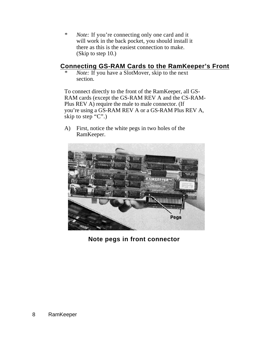<span id="page-16-0"></span>*\* Note:* If you're connecting only one card and it will work in the back pocket, you should install it there as this is the easiest connection to make. (Skip to step 10.)

### **Connecting GS-RAM Cards to the RamKeeper's Front**

*Note:* If you have a SlotMover, skip to the next section.

To connect directly to the front of the RamKeeper, all GS-RAM cards (except the GS-RAM REV A and the CS-RAM-Plus REV A) require the male to male connector. (If you're using a GS-RAM REV A or a GS-RAM Plus REV A, skip to step "C".)

A) First, notice the white pegs in two holes of the RamKeeper.



 **Note pegs in front connector**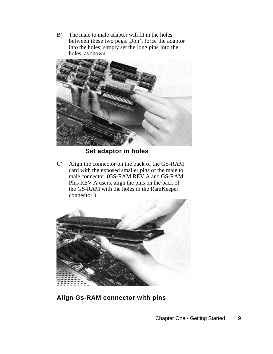B) The male to male adaptor will fit in the holes between these two pegs. Don't force the adaptor into the holes; simply set the long pins into the holes, as shown.



 **Set adaptor in holes**

C) Align the connector on the back of the GS-RAM card with the exposed smaller pins of the male to male connector. (GS-RAM REV A and GS-RAM Plus REV A users, align the pins on the back of the GS-RAM with the holes in the RamKeeper connector.)



**Align Gs-RAM connector with pins**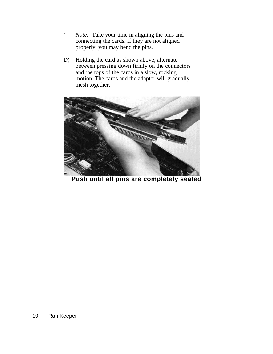- *\* Note:* Take your time in aligning the pins and connecting the cards. If they are not aligned properly, you may bend the pins.
- D) Holding the card as shown above, alternate between pressing down firmly on the connectors and the tops of the cards in a slow, rocking motion. The cards and the adaptor will gradually mesh together.



**Push until all pins are completely seated**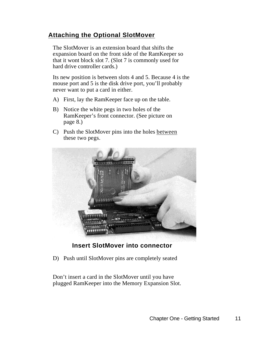### <span id="page-19-0"></span>**Attaching the Optional SlotMover**

The SlotMover is an extension board that shifts the expansion board on the front side of the RamKeeper so that it wont block slot 7. (Slot 7 is commonly used for hard drive controller cards.)

Its new position is between slots 4 and 5. Because 4 is the mouse port and 5 is the disk drive port, you'll probably never want to put a card in either.

- A) First, lay the RamKeeper face up on the table.
- B) Notice the white pegs in two holes of the RamKeeper's front connector. (See picture on page 8.)
- C) Push the SlotMover pins into the holes between these two pegs.



 **Insert SlotMover into connector**

D) Push until SlotMover pins are completely seated

Don't insert a card in the SlotMover until you have plugged RamKeeper into the Memory Expansion Slot.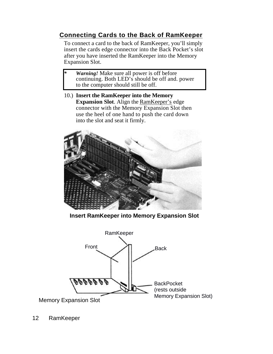### <span id="page-20-0"></span>**Connecting Cards to the Back of RamKeeper**

To connect a card to the back of RamKeeper, you'll simply insert the cards edge connector into the Back Pocket's slot after you have inserted the RamKeeper into the Memory Expansion Slot.

- *Warning!* Make sure all power is off before continuing. Both LED's should be off and. power to the computer should still be off.
- 10.) **Insert the RamKeeper into the Memory Expansion Slot**. Align the RamKeeper's edge connector with the Memory Expansion Slot then use the heel of one hand to push the card down into the slot and seat it firmly.



**Insert RamKeeper into Memory Expansion Slot**

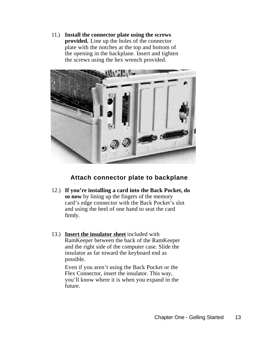11.) **Install the connector plate using the screws provided.** Line up the holes of the connector plate with the notches at the top and bottom of the opening in the backplane. Insert and tighten the screws using the hex wrench provided.



### **Attach connector plate to backplane**

- 12.) **If you're installing a card into the Back Pocket, do so now** by lining up the fingers of the memory card's edge connector with the Back Pocket's slot and using the heel of one hand to seat the card firmly.
- 13.) **Insert the insulator sheet** included with RamKeeper between the back of the RamKeeper and the right side of the computer case. Slide the insulator as far toward the keyboard end as possible.

Even if you aren't using the Back Pocket or the Flex Connector, insert the insulator. This way, you'll know where it is when you expand in the future.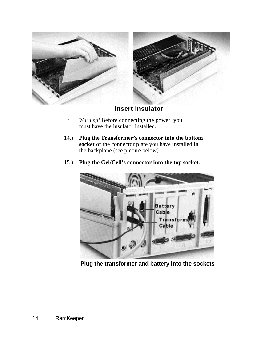



### **Insert insulator**

- *\* Warning!* Before connecting the power, you must have the insulator installed.
- 14.) **Plug the Transformer's connector into the bottom** socket of the connector plate you have installed in the backplane (see picture below).
- 15.) **Plug the Gel/Cell's connector into the top socket.**



**Plug the transformer and battery into the sockets**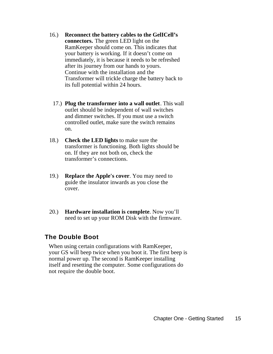- <span id="page-23-0"></span>16.) **Reconnect the battery cables to the GelICell's connectors.** The green LED light on the RamKeeper should come on. This indicates that your battery is working. If it doesn't come on immediately, it is because it needs to be refreshed after its journey from our hands to yours. Continue with the installation and the Transformer will trickle charge the battery back to its full potential within 24 hours.
	- 17.) **Plug the transformer into a wall outlet**. This wall outlet should be independent of wall switches and dimmer switches. If you must use a switch controlled outlet, make sure the switch remains on.
- 18.) **Check the LED lights** to make sure the transformer is functioning. Both lights should be on. If they are not both on, check the transformer's connections.
- 19.) **Replace the Apple's cover**. You may need to guide the insulator inwards as you close the cover.
- 20.) **Hardware installation is complete**. Now you'll need to set up your ROM Disk with the firmware.

### **The Double Boot**

When using certain configurations with RamKeeper, your GS will beep twice when you boot it. The first beep is normal power up. The second is RamKeeper installing itself and resetting the computer. Some configurations do not require the double boot.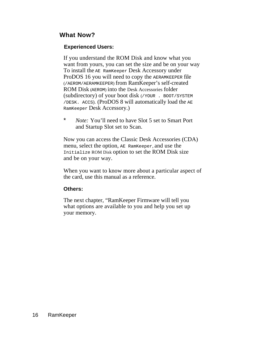### <span id="page-24-0"></span>**What Now?**

#### **Experienced Users:**

If you understand the ROM Disk and know what you want from yours, you can set the size and be on your way To install the AE RamKeeper Desk Accessory under ProDOS 16 you will need to copy the AERAMKEEPER file (/AEROM/AERAMKEEPER) from RamKeeper's self-created ROM Disk (AEROM) into the Desk Accessories folder (subdirectory) of your boot disk (/YOUR . BOOT/SYSTEM /DESK. ACCS). (ProDOS 8 will automatically load the AE RamKeeper Desk Accessory.)

\* *Note:* You'll need to have Slot 5 set to Smart Port and Startup Slot set to Scan.

Now you can access the Classic Desk Accessories (CDA) menu, select the option, AE RamKeeper, and use the Initialize ROM Disk option to set the ROM Disk size and be on your way.

When you want to know more about a particular aspect of the card, use this manual as a reference.

#### **Others:**

The next chapter, "RamKeeper Firmware will tell you what options are available to you and help you set up your memory.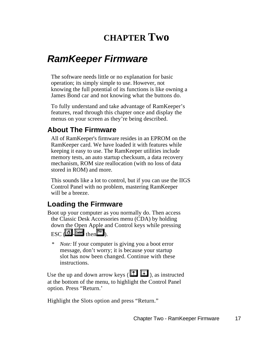### **CHAPTER Two**

### <span id="page-25-0"></span>*RamKeeper Firmware*

The software needs little or no explanation for basic operation; its simply simple to use. However, not knowing the full potential of its functions is like owning a James Bond car and not knowing what the buttons do.

To fully understand and take advantage of RamKeeper's features, read through this chapter once and display the menus on your screen as they're being described.

### **About The Firmware**

All of RamKeeper's firmware resides in an EPROM on the RamKeeper card. We have loaded it with features while keeping it easy to use. The RamKeeper utilities include memory tests, an auto startup checksum, a data recovery mechanism, ROM size reallocation (with no loss of data stored in ROM) and more.

This sounds like a lot to control, but if you can use the IIGS Control Panel with no problem, mastering RamKeeper will be a breeze.

### **Loading the Firmware**

Boot up your computer as you normally do. Then access the Classic Desk Accessories menu (CDA) by holding down the Open Apple and Control keys while pressing  $\text{ESC}$   $\boxed{\text{C}}$   $\boxed{\text{cm}}$  then  $\boxed{\text{C}}$ ).

*\* Note:* If your computer is giving you a boot error message, don't worry; it is because your startup slot has now been changed. Continue with these instructions.

Use the up and down arrow keys  $(\Box \Box)$ , as instructed at the bottom of the menu, to highlight the Control Panel option. Press "Return.'

Highlight the Slots option and press "Return."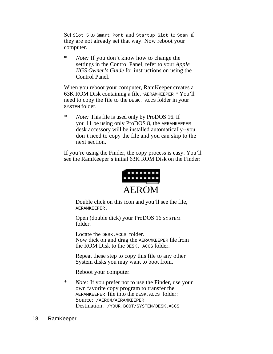Set slot 5 to Smart Port and Startup Slot to Scan if they are not already set that way. Now reboot your computer.

**\*** *Note:* If you don't know how to change the settings in the Control Panel, refer to your *Apple IIGS Owner's Guide* for instructions on using the Control Panel.

When you reboot your computer, RamKeeper creates a 63K ROM Disk containing a file, "AERAMKEEPER." You'll need to copy the file to the DESK. ACCS folder in your SYSTEM folder.

*\* Note:* This file is used only by ProDOS 16. If you 11 be using only ProDOS 8, the AERAMKEEPER desk accessory will be installed automatically--you don't need to copy the file and you can skip to the next section.

If you're using the Finder, the copy process is easy. You'll see the RamKeeper's initial 63K ROM Disk on the Finder:



Double click on this icon and you'll see the file, AERAMKEEPER.

Open (double dick) your ProDOS 16 SYSTEM folder.

Locate the DESK. ACCS folder. Now dick on and drag the AERAMKEEPER file from the ROM Disk to the DESK. ACCS folder.

Repeat these step to copy this file to any other System disks you may want to boot from.

Reboot your computer.

\* *Note:* If you prefer not to use the Finder, use your own favorite copy program to transfer the AERAMKEEPER file into the DESK.ACCS folder: Source: /AEROM/AERAMKEEPER Destination: / YOUR BOOT/SYSTEM/DESK ACCS.

#### 18 RamKeeper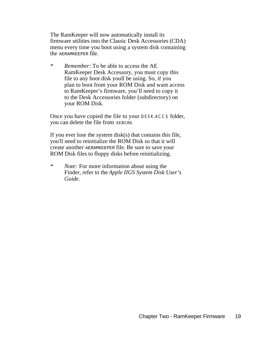The RamKeeper will now automatically install its firmware utilities into the Classic Desk Accessories (CDA) menu every time you boot using a system disk containing the AERAMKEEPER file.

*\* Remember:* To be able to access the AE RamKeeper Desk Accessory, you must copy this file to any boot disk youll be using. So, if you plan to boot from your ROM Disk and want access to RamKeeper's firmware, you'll need to copy it to the Desk Accessories folder (subdirectory) on your ROM Disk.

Once you have copied the file to your DESK.ACCS folder, you can delete the file from AEROM.

If you ever lose the system disk(s) that contains this file, you'll need to reinitialize the ROM Disk so that it will create another AERAMKEEPER file. Be sure to save your ROM Disk files to floppy disks before reinitializing.

*\* Note:* For more information about using the Finder, refer to the *Apple IIGS System Disk User's Guide.*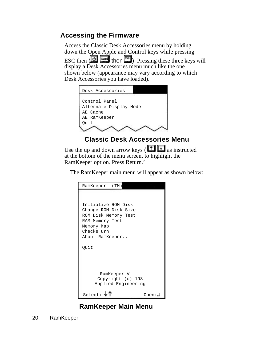### <span id="page-28-0"></span>**Accessing the Firmware**

Access the Classic Desk Accessories menu by holding down the Open Apple and Control keys while pressing ESC then  $\left[\begin{array}{c} \bullet \\ \bullet \end{array}\right]$  then  $\left[\begin{array}{c} \bullet \\ \bullet \end{array}\right]$ . Pressing these three keys will display a Desk Accessories menu much like the one shown below (appearance may vary according to which Desk Accessories you have loaded).

| Desk Accessories       |
|------------------------|
| Control Panel          |
| Alternate Display Mode |
| AE Cache               |
| AE RamKeeper           |
| Ouit                   |
|                        |

### **Classic Desk Accessories Menu**

Use the up and down arrow keys ( $\boxed{\top}$   $\boxed{\bot}$  as instructed at the bottom of the menu screen, to highlight the RamKeeper option. Press Return.'

The RamKeeper main menu will appear as shown below:

| RamKeeper (TM)                                                                                                                                |                                                            |        |
|-----------------------------------------------------------------------------------------------------------------------------------------------|------------------------------------------------------------|--------|
| Initialize ROM Disk<br>Change ROM Disk Size<br>ROM Disk Memory Test<br>RAM Memory Test<br>Memory Map<br>Checks urn<br>About RamKeeper<br>Quit |                                                            |        |
|                                                                                                                                               | RamKeeper V--<br>Copyright (c) 198-<br>Applied Engineering |        |
| Select: $\downarrow \uparrow$                                                                                                                 |                                                            | 0pen∶∟ |

### **RamKeeper Main Menu**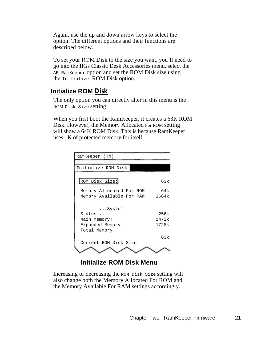<span id="page-29-0"></span>Again, use the up and down arrow keys to select the option. The different options and their functions are described below.

To set your ROM Disk to the size you want, you'll need to go into the IIGs Classic Desk Accessories menu, select the AE RamKeeper option and set the ROM Disk size using the Initialize ROM Disk option.

### **Initialize ROM Disk**

The only option you can directly alter in this menu is the ROM Disk Size setting.

When you first boot the RamKeeper, it creates a 63K ROM Disk. However, the Memory Allocated For ROM setting will show a 64K ROM Disk. This is because RamKeeper uses 1K of protected memory for itself.

| RamKeeper (TM)            |       |
|---------------------------|-------|
|                           |       |
| Initialize ROM Disk       |       |
|                           |       |
| ROM Disk Size:            | 63k   |
| Memory Allocated For ROM: | 64k   |
| Memory Available For RAM: | 1664k |
|                           |       |
| System                    |       |
| Status                    | 256k  |
| Main Memory:              | 1472k |
| Expanded Memory:          | 1728k |
| Total Memory              |       |
|                           | 63k   |
| Current ROM Disk Size:    |       |
|                           |       |

 **Initialize ROM Disk Menu**

Increasing or decreasing the ROM Disk Size setting will also change both the Memory Allocated For ROM and the Memory Available For RAM settings accordingly.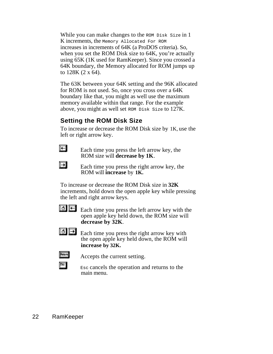<span id="page-30-0"></span>While you can make changes to the ROM Disk Size in 1 K increments, the Memory Allocated For ROM increases in increments of 64K (a ProDOS criteria). So, when you set the ROM Disk size to 64K, you're actually using 65K (1K used for RamKeeper). Since you crossed a 64K boundary, the Memory allocated for ROM jumps up to 128K (2 x 64).

The 63K between your 64K setting and the 96K allocated for ROM is not used. So, once you cross over a 64K boundary like that, you might as well use the maximum memory available within that range. For the example above, you might as well set ROM Disk Size to 127K.

### **Setting the ROM Disk Size**

To increase or decrease the ROM Disk size by 1K, use the left or right arrow key.

Each time you press the left arrow key, the ROM size will **decrease by 1K**.



Each time you press the right arrow key, the ROM will **increase** by **1K.**

To increase or decrease the ROM Disk size in **32K** increments, hold down the open apple key while pressing the left and right arrow keys.

Each time you press the left arrow key with the open apple key held down, the ROM size will **decrease by 32K**.



Each time you press the right arrow key with the open apple key held down, the ROM will **increase by 32K.**



Accepts the current setting.



Esc cancels the operation and returns to the main menu.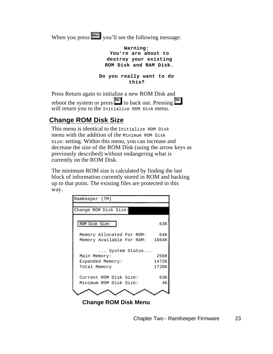<span id="page-31-0"></span>When you press **FORDER YOU'll see the following message:** 

```
Warning:
   You're are about to 
  destroy your existing 
 ROM Disk and RAM Disk.
Do you really want to do 
          this?
```
Press Return again to initialize a new ROM Disk and reboot the system or press  $\frac{1}{\sqrt{2}}$  to back out. Pressing  $\frac{1}{\sqrt{2}}$ will return you to the Initialize ROM Disk menu.

### **Change ROM Disk Size**

This menu is identical to the Initialize ROM Disk menu with the addition of the Minimum ROM Disk Size: setting. Within this menu, you can increase and decrease the size of the ROM Disk (using the arrow keys as previously described) without endangering what is currently on the ROM Disk.

The minimum ROM size is calculated by finding the last block of information currently stored in ROM and backing up to that point. The existing files are protected in this way.

| RamKeeper (TM)            |       |
|---------------------------|-------|
|                           |       |
| Change ROM Disk Size:     |       |
|                           |       |
| ROM Disk Size:            | 63K   |
|                           |       |
| Memory Allocated For ROM: | 64K   |
| Memory Available For RAM: | 1664K |
|                           |       |
| System Status             |       |
| Main Memory:              | 256K  |
| Expanded Memory:          | 1472K |
| Total Memory              | 1728K |
|                           |       |
| Current ROM Disk Size:    | 63K   |
| Minimum ROM Disk Size:    | 4Κ    |
|                           |       |
|                           |       |

 **Change ROM Disk Menu**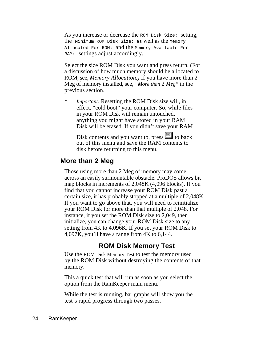<span id="page-32-0"></span>As you increase or decrease the ROM Disk Size: setting, the Minimum ROM Disk Size: as well as the Memory Allocated For ROM: and the Memory Available For RAM: settings adjust accordingly.

Select the size ROM Disk you want and press return. (For a discussion of how much memory should be allocated to ROM, see, *Memory Allocation.)* If you have more than 2 Meg of memory installed, see, *"More than* 2 *Meg"* in the previous section.

*Important:* Resetting the ROM Disk size will, in effect, "cold boot" your computer. So, while files in your ROM Disk will remain untouched, anything you might have stored in your RAM Disk will be erased. If you didn't save your RAM

Disk contents and you want to, press to back out of this menu and save the RAM contents to disk before returning to this menu.

### **More than 2 Meg**

Those using more than 2 Meg of memory may come across an easily surmountable obstacle. ProDOS allows bit map blocks in increments of 2,048K (4,096 blocks). If you find that you cannot increase your ROM Disk past a certain size, it has probably stopped at a multiple of 2,048K. If you want to go above that, you will need to reinitialize your ROM Disk for more than that multiple of 2,048. For instance, if you set the ROM Disk size to 2,049, then initialize, you can change your ROM Disk size to any setting from 4K to 4,096K. If you set your ROM Disk to 4,097K, you'll have a range from 4K to 6,144.

### **ROM Disk Memory Test**

Use the ROM Disk Memory Test to test the memory used by the ROM Disk without destroying the contents of that memory.

This a quick test that will run as soon as you select the option from the RamKeeper main menu.

While the test is running, bar graphs will show you the test's rapid progress through two passes.

#### 24 RamKeeper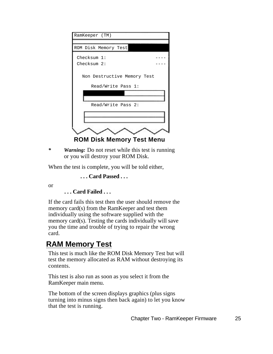<span id="page-33-0"></span>

| RamKeeper (TM)                                    |
|---------------------------------------------------|
| ROM Disk Memory Test                              |
|                                                   |
| Checksum 1:                                       |
| Checksum 2:                                       |
| Non Destructive Memory Test<br>Read/Write Pass 1: |
|                                                   |
| Read/Write Pass 2:                                |
|                                                   |
|                                                   |
| <b>ROM Disk Memory Test Menu</b>                  |

*\* Warning:* Do not reset while this test is running or you will destroy your ROM Disk.

When the test is complete, you will be told either,

**. . . Card Passed . . .**

or

**. . . Card Failed . . .**

If the card fails this test then the user should remove the memory card(s) from the RamKeeper and test them individually using the software supplied with the memory card(s). Testing the cards individually will save you the time and trouble of trying to repair the wrong card.

### **RAM Memory Test**

This test is much like the ROM Disk Memory Test but will test the memory allocated as RAM without destroying its contents.

This test is also run as soon as you select it from the RamKeeper main menu.

The bottom of the screen displays graphics (plus signs turning into minus signs then back again) to let you know that the test is running.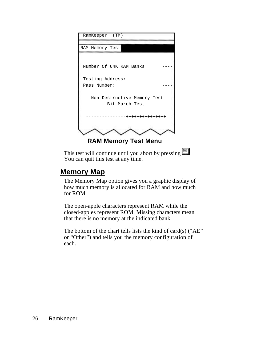<span id="page-34-0"></span>

This test will continue until you abort by pressing  $\mathbb{R}^n$ You can quit this test at any time.

### **Memory Map**

The Memory Map option gives you a graphic display of how much memory is allocated for RAM and how much for ROM.

The open-apple characters represent RAM while the closed-apples represent ROM. Missing characters mean that there is no memory at the indicated bank.

The bottom of the chart tells lists the kind of card(s) ("AE" or "Other") and tells you the memory configuration of each.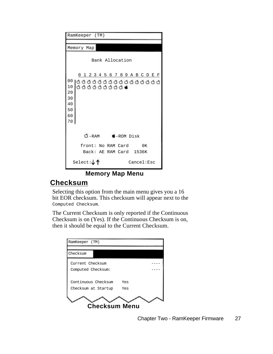<span id="page-35-0"></span>

### **Memory Map Menu**

### **Checksum**

Selecting this option from the main menu gives you a 16 bit EOR checksum. This checksum will appear next to the Computed Checksum.

The Current Checksum is only reported if the Continuous Checksum is on (Yes). If the Continuous Checksum is on, then it should be equal to the Current Checksum.

| Checksum            |     |  |
|---------------------|-----|--|
| Current Checksum    |     |  |
| Computed Checksum:  |     |  |
| Continuous Checksum | Yes |  |
| Checksum at Startup | Yes |  |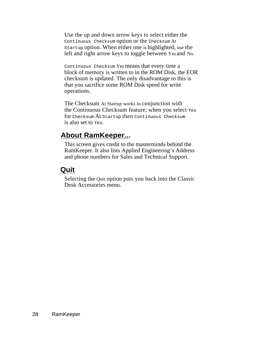<span id="page-36-0"></span>Use the up and down arrow keys to select either the Continuous Checksum option or the Checksum At Startup option. When either one is highlighted, use the left and right arrow keys to toggle between Yes and No.

Continuous Checksum Yes means that every time a block of memory is written to in the ROM Disk, the EOR checksum is updated. The only disadvantage to this is that you sacrifice some ROM Disk speed for write operations.

The Checksum At Startup works in conjunction with the Continuous Checksum feature; when you select Yes for Checksum At Startup then Continuous Checksum is also set to Yes.

### **About RamKeeper...**

This screen gives credit to the masterminds behind the RamKeeper. It also lists Applied Engineering's Address and phone numbers for Sales and Technical Support.

### **Quit**

Selecting the Quit option puts you back into the Classic Desk Accessories menu.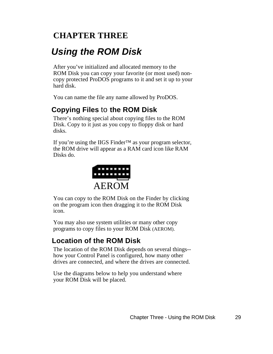### <span id="page-37-0"></span>**CHAPTER THREE**

### *Using the ROM Disk*

After you've initialized and allocated memory to the ROM Disk you can copy your favorite (or most used) noncopy protected ProDOS programs to it and set it up to your hard disk.

You can name the file any name allowed by ProDOS.

### **Copying Files** to **the ROM Disk**

There's nothing special about copying files to the ROM Disk. Copy to it just as you copy to floppy disk or hard disks.

If you're using the IIGS Finder™ as your program selector, the ROM drive will appear as a RAM card icon like RAM Disks do.



You can copy to the ROM Disk on the Finder by clicking on the program icon then dragging it to the ROM Disk icon.

You may also use system utilities or many other copy programs to copy files to your ROM Disk (AEROM).

### **Location of the ROM Disk**

The location of the ROM Disk depends on several things- how your Control Panel is configured, how many other drives are connected, and where the drives are connected.

Use the diagrams below to help you understand where your ROM Disk will be placed.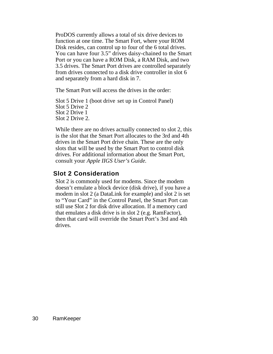<span id="page-38-0"></span>ProDOS currently allows a total of six drive devices to function at one time. The Smart Fort, where your ROM Disk resides, can control up to four of the 6 total drives. You can have four 3.5" drives daisy-chained to the Smart Port or you can have a ROM Disk, a RAM Disk, and two 3.5 drives. The Smart Port drives are controlled separately from drives connected to a disk drive controller in slot 6 and separately from a hard disk in 7.

The Smart Port will access the drives in the order:

Slot 5 Drive 1 (boot drive set up in Control Panel) Slot 5 Drive 2 Slot 2 Drive 1 Slot 2 Drive 2.

While there are no drives actually connected to slot 2, this is the slot that the Smart Port allocates to the 3rd and 4th drives in the Smart Port drive chain. These are the only slots that will be used by the Smart Port to control disk drives. For additional information about the Smart Port, consult your *Apple IIGS User's Guide.*

### **Slot 2 Consideration**

Slot 2 is commonly used for modems. Since the modem doesn't emulate a block device (disk drive), if you have a modem in slot 2 (a DataLink for example) and slot 2 is set to "Your Card" in the Control Panel, the Smart Port can still use Slot 2 for disk drive allocation. If a memory card that emulates a disk drive is in slot 2 (e.g. RamFactor), then that card will override the Smart Port's 3rd and 4th drives.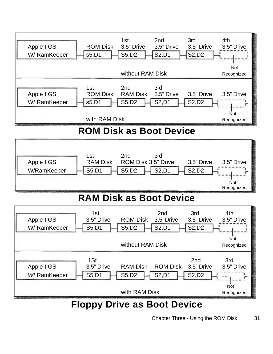<span id="page-39-0"></span>

Chapter Three - Using the ROM Disk 31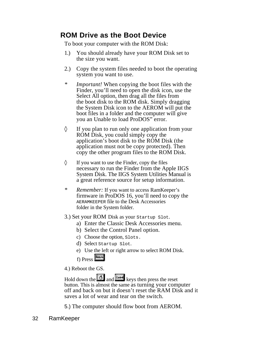### <span id="page-40-0"></span>**ROM Drive as the Boot Device**

To boot your computer with the ROM Disk:

- 1.) You should already have your ROM Disk set to the size you want.
- 2.) Copy the system files needed to boot the operating system you want to use.
- *\* Important!* When copying the boot files with the Finder, you'll need to open the disk icon, use the Select All option, then drag all the files from the boot disk to the ROM disk. Simply dragging the System Disk icon to the AEROM will put the boot files in a folder and the computer will give you an Unable to load ProDOS" error.

If you plan to run only one application from your ROM Disk, you could simply copy the application's boot disk to the ROM Disk (the application must not be copy protected). Then copy the other program files to the ROM Disk.

If you want to use the Finder, copy the files necessary to run the Finder from the Apple IIGS System Disk. The IIGS System Utilities Manual is a great reference source for setup information.

- *\* Remember:* If you want to access RamKeeper's firmware in ProDOS 16, you'll need to copy the AERAMKEEPER file to the Desk Accessories folder in the System folder.
- 3.) Set your ROM Disk as your Startup Slot.
	- a) Enter the Classic Desk Accessories menu.
	- b) Select the Control Panel option.
	- c) Choose the option, Slots.
	- d) Select Startup Slot.
	- e) Use the left or right arrow to select ROM Disk.
	- f) Press

#### 4.) Reboot the GS.

Hold down the  $\boxed{3}$  and  $\boxed{3}$  keys then press the reset button. This is almost the same as turning your computer off and back on but it doesn't reset the RAM Disk and it saves a lot of wear and tear on the switch.

5.) The computer should flow boot from AEROM.

32 RamKeeper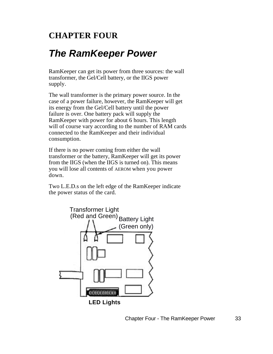### <span id="page-41-0"></span>**CHAPTER FOUR**

### *The RamKeeper Power*

RamKeeper can get its power from three sources: the wall transformer, the Gel/Cell battery, or the IIGS power supply.

The wall transformer is the primary power source. In the case of a power failure, however, the RamKeeper will get its energy from the Gel/Cell battery until the power failure is over. One battery pack will supply the RamKeeper with power for about 6 hours. This length will of course vary according to the number of RAM cards connected to the RamKeeper and their individual consumption.

If there is no power coming from either the wall transformer or the battery, RamKeeper will get its power from the IIGS (when the IIGS is turned on). This means you will lose all contents of AEROM when you power down.

Two L.E.D.s on the left edge of the RamKeeper indicate the power status of the card.



Chapter Four - The RamKeeper Power 33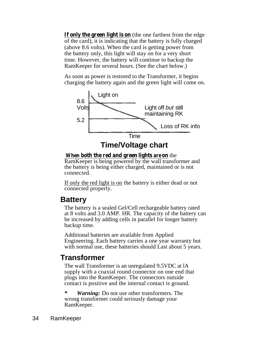<span id="page-42-0"></span>**If only the green light is on** (the one farthest from the edge of the card), it is indicating that the battery is fully charged (above 8.6 volts). When the card is getting power from the battery only, this light will stay on for a very short time. However, the battery will continue to backup the RamKeeper for several hours. (See the chart below.)

As soon as power is restored to the Transformer, it begins charging the battery again and the green light will come on.



 **When both the red and green lights are on** the RamKeeper is being powered by the wall transformer and the battery is being either charged, maintained or is not connected.

If only the red light is on the battery is either dead or not connected properly.

### **Battery**

The battery is a sealed Gel/Cell rechargeable battery rated at 8 volts and 3.0 AMP. HR. The capacity of the battery can be increased by adding cells in parallel for longer battery backup time.

Additional batteries are available from Applied Engineering. Each battery carries a one year warranty but with normal use, these batteries should Last about 5 years.

### **Transformer**

The wall Transformer is an unregulated 9.5VDC at lA supply with a coaxial round connector on one end that plugs into the RamKeeper. The connectors outside contact is positive and the internal contact is ground.

*\* Warning:* Do not use other transformers. The wrong transformer could seriously damage your RamKeeper.

34 RamKeeper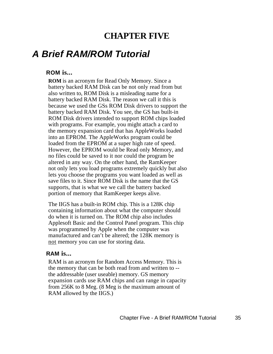### **CHAPTER FIVE**

### <span id="page-43-0"></span>*A Brief RAM/ROM Tutorial*

### **ROM is...**

**ROM** is an acronym for Read Only Memory. Since a battery backed RAM Disk can be not only read from but also written to, ROM Disk is a misleading name for a battery backed RAM Disk. The reason we call it this is because we used the GSs ROM Disk drivers to support the battery backed RAM Disk. You see, the GS has built-in ROM Disk drivers intended to support ROM chips loaded with programs. For example, you might attach a card to the memory expansion card that has AppleWorks loaded into an EPROM. The AppleWorks program could be loaded from the EPROM at a super high rate of speed. However, the EPROM would be Read only Memory, and no files could be saved to it nor could the program be altered in any way. On the other hand, the RamKeeper not only lets you load programs extremely quickly but also lets you choose the programs you want loaded as well as save files to it. Since ROM Disk is the name that the GS supports, that is what we we call the battery backed portion of memory that RamKeeper keeps alive.

The IIGS has a built-in ROM chip. This is a 128K chip containing information about what the computer should do when it is turned on. The ROM chip also includes Applesoft Basic and the Control Panel program. This chip was programmed by Apple when the computer was manufactured and can't be altered; the 128K memory is not memory you can use for storing data.

#### **RAM is...**

RAM is an acronym for Random Access Memory. This is the memory that can be both read from and written to - the addressable (user useable) memory. GS memory expansion cards use RAM chips and can range in capacity from 256K to 8 Meg. (8 Meg is the maximum amount of RAM allowed by the IIGS.)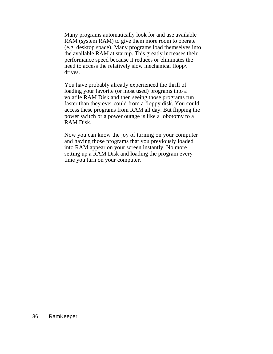Many programs automatically look for and use available RAM (system RAM) to give them more room to operate (e.g. desktop space). Many programs load themselves into the available RAM at startup. This greatly increases their performance speed because it reduces or eliminates the need to access the relatively slow mechanical floppy drives.

You have probably already experienced the thrill of loading your favorite (or most used) programs into a volatile RAM Disk and then seeing those programs run faster than they ever could from a floppy disk. You could access these programs from RAM all day. But flipping the power switch or a power outage is like a lobotomy to a RAM Disk.

Now you can know the joy of turning on your computer and having those programs that you previously loaded into RAM appear on your screen instantly. No more setting up a RAM Disk and loading the program every time you turn on your computer.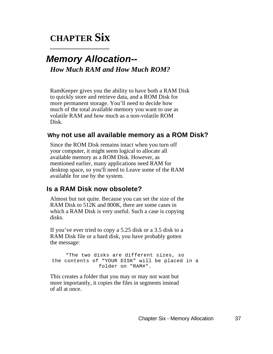### <span id="page-45-0"></span>**CHAPTER Six**

### *Memory Allocation--* - *How Much RAM and How Much ROM?*

RamKeeper gives you the ability to have both a RAM Disk to quickly store and retrieve data, and a ROM Disk for more permanent storage. You'll need to decide how much of the total available memory you want to use as volatile RAM and how much as a non-volatile ROM Disk.

### **Why not use all available memory as a ROM Disk?**

Since the ROM Disk remains intact when you turn off your computer, it might seem logical to allocate all available memory as a ROM Disk. However, as mentioned earlier, many applications need RAM for desktop space, so you'll need to Leave some of the RAM available for use by the system.

### **Is a RAM Disk now obsolete?**

Almost but not quite. Because you can set the size of the RAM Disk to 512K and 800K, there are some cases in which a RAM Disk is very useful. Such a case is copying disks.

If you've ever tried to copy a 5.25 disk or a 3.5 disk to a RAM Disk file or a hard disk, you have probably gotten the message:

```
"The two disks are different sizes, so 
the contents of "YOUR DISK" will be placed in a
               folder on "RAM#".
```
This creates a folder that you may or may not want but more importantly, it copies the files in segments instead of all at once.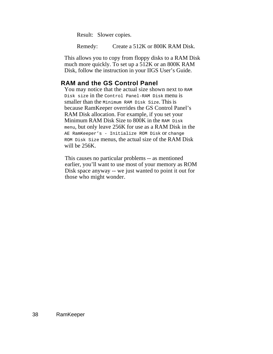<span id="page-46-0"></span>Result: Slower copies.

Remedy: Create a 512K or 800K RAM Disk.

This allows you to copy from floppy disks to a RAM Disk much more quickly. To set up a 512K or an 800K RAM Disk, follow the instruction in your IIGS User's Guide.

### **RAM and the GS Control Panel**

You may notice that the actual size shown next to RAM Disk size in the Control Panel-RAM Disk menu is smaller than the Minimum RAM Disk Size. This is because RamKeeper overrides the GS Control Panel's RAM Disk allocation. For example, if you set your Minimum RAM Disk Size to 800K in the RAM Disk menu, but only leave 256K for use as a RAM Disk in the AE RamKeeper's - Initialize ROM Disk Of change ROM Disk Size menus, the actual size of the RAM Disk will be 256K.

This causes no particular problems -- as mentioned earlier, you'll want to use most of your memory as ROM Disk space anyway -- we just wanted to point it out for those who might wonder.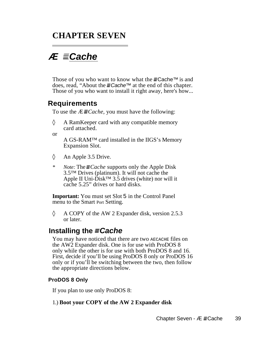### <span id="page-47-0"></span>**CHAPTER SEVEN**

### *Æ Cache*

Those of you who want to know what the  $\blacksquare$ Cache™ is and does, read, "About the *Cache™* at the end of this chapter. Those of you who want to install it right away, here's how...

### **Requirements**

To use the *Æ ≡Cache*, you must have the following:

A RamKeeper card with any compatible memory card attached.

or

A GS-RAM™ card installed in the IIGS's Memory Expansion Slot.

An Apple 3.5 Drive.

*\* Note:* The *Cache* supports only the Apple Disk 3.5™ Drives (platinum). It will not cache the Apple II Uni-Disk™ 3.5 drives (white) nor will it cache 5.25" drives or hard disks.

**Important:** You must set Slot 5 in the Control Panel menu to the Smart Port Setting.

A COPY of the AW 2 Expander disk, version 2.5.3 or later.

### **Installing the** *Cache*

You may have noticed that there are two AECACHE files on the AW2 Expander disk. One is for use with ProDOS 8 only while the other is for use with both ProDOS 8 and 16. First, decide if you'll be using ProDOS 8 only or ProDOS 16 only or if you'll be switching between the two, then follow the appropriate directions below.

#### **ProDOS 8 Only**

If you plan to use only ProDOS 8:

#### 1.) **Boot your COPY of the AW 2 Expander disk**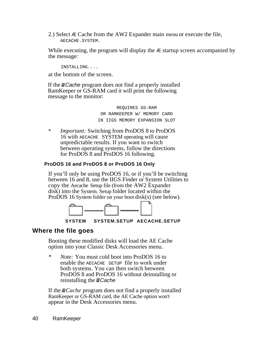<span id="page-48-0"></span>2.) Select Æ Cache from the AW2 Expander main menu or execute the file, AECACHE.SYSTEM.

While executing, the program will display the  $\mathcal E$  startup screen accompanied by the message:

INSTALLING....

at the bottom of the screen.

If the *Cache* program does not find a properly installed RamKeeper or GS-RAM card it will print the following message to the monitor:

> REQUIRES GS-RAM OR RAMKEEPER W/ MEMORY CARD IN IIGS MEMORY EXPANSION SLOT

\* *Important:* Switching from ProDOS 8 to ProDOS 16 with AECACHE . SYSTEM operating will cause unpredictable results. If you want to switch between operating systems, follow the directions for ProDOS 8 and ProDOS 16 following.

#### **ProDOS 16 and ProDOS 8 or ProDOS 16 Only**

If you'll only be using ProDOS 16, or if you'll be switching between 16 and 8, use the IIGS Finder or System Utilities to copy the Aecache . Setup file (from the AW2 Expander disk) into the System. Setup folder located within the ProDOS 16 System folder on your boot disk(s) (see below).



#### **Where the file goes**

Booting these modified disks will load the AE Cache option into your Classic Desk Accessories menu.

*\* Note:* You must cold boot into ProDOS 16 to enable the AECACHE . SETUP file to work under both systems. You can then switch between ProDOS 8 and ProDOS 16 without deinstalling or reinstalling the *Cache*

If the *Cache* program does not find a properly installed RamKeeper or GS-RAM card, the AE Cache option won't appear in the Desk Accessories menu.

40 RamKeeper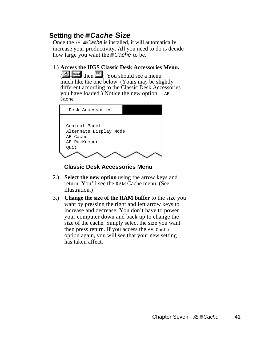### <span id="page-49-0"></span>**Setting the** *Cache* **Size**

Once the  $\mathcal{F} \equiv$  Cache is installed, it will automatically increase your productivity. All you need to do is decide how large you want the *Cache* to be.

### 1.) **Access the IIGS Classic Desk Accessories Menu.**

 $\left( \begin{array}{c} \bullet \\ \bullet \end{array} \right)$  fand then  $\left[ \begin{array}{c} \bullet \\ \bullet \end{array} \right]$ . You should see a menu much like the one below. (Yours may be slightly different according to the Classic Desk Accessories you have loaded.) Notice the new option --AE Cache.



#### **Classic Desk Accessories Menu**

- 2.) **Select the new option** using the arrow keys and return. You'll see the RAM Cache menu. (See illustration.)
- 3.) **Change the size of the RAM buffer** to the size you want by pressing the right and left arrow keys to increase and decrease. You don't have to power your computer down and back up to change the size of the cache. Simply select the size you want then press return. If you access the AE Cache option again, you will see that your new setting has taken affect.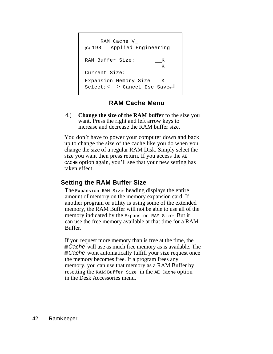```
 RAM Cache V_
(C) 198— Applied Engineering
RAM Buffer Size: K
                        K
Current Size:
Expansion Memory Size K
Select: < \rightarrow Cancel: Esc Save
```
### **RAM Cache Menu**

4.) **Change the size of the RAM buffer** to the size you want. Press the right and left arrow keys to increase and decrease the RAM buffer size.

You don't have to power your computer down and back up to change the size of the cache like you do when you change the size of a regular RAM Disk. Simply select the size you want then press return. If you access the AE CACHE option again, you'll see that your new setting has taken effect.

### **Setting the RAM Buffer Size**

The Expansion RAM Size: heading displays the entire amount of memory on the memory expansion card. If another program or utility is using some of the extended memory, the RAM Buffer will not be able to use all of the memory indicated by the Expansion RAM Size:. But it can use the free memory available at that time for a RAM Buffer.

If you request more memory than is free at the time, the *Cache* will use as much free memory as is available. The *Cache* wont automatically fulfill your size request once the memory becomes free. If a program frees any memory, you can use that memory as a RAM Buffer by resetting the RAM Buffer Size in the AE Cache option in the Desk Accessories menu.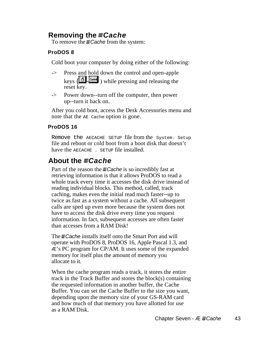### <span id="page-51-0"></span>**Removing the** *Cache*

To remove the *Cache* from the system:

### **ProDOS 8**

Cold boot your computer by doing either of the following:

- -> Press and hold down the control and open-apple keys  $(\Box)$   $\Box$  ) while pressing and releasing the reset key.
- -> Power down--turn off the computer, then power up--turn it back on.

After you cold boot, access the Desk Accessories menu and note that the AE Cache option is gone.

#### **ProDOS 16**

Remove the AECACHE . SETUP file from the System. Setup file and reboot or cold boot from a boot disk that doesn't have the AECACHE . SETUP file installed.

### **About the** *Cache*

Part of the reason the *Cache* is so incredibly fast at retrieving information is that it allows ProDOS to read a whole track every time it accesses the disk drive instead of reading individual blocks. This method, called, track caching, makes even the initial read much faster--up to twice as fast as a system without a cache. All subsequent calls are sped up even more because the system does not have to access the disk drive every time you request information. In fact, subsequent accesses are often faster than accesses from a RAM Disk!

The **Cache** installs itself onto the Smart Port and will operate with ProDOS 8, ProDOS 16, Apple Pascal 1.3, and Æ's PC program for CP/AM. It uses some of the expanded memory for itself plus the amount of memory you allocate to it.

When the cache program reads a track, it stores the entire track in the Track Buffer and stores the block(s) containing the requested information in another buffer, the Cache Buffer. You can set the Cache Buffer to the size you want, depending upon the memory size of your GS-RAM card and how much of that memory you have allotted for use as a RAM Disk.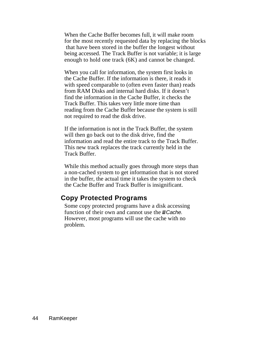When the Cache Buffer becomes full, it will make room for the most recently requested data by replacing the blocks that have been stored in the buffer the longest without being accessed. The Track Buffer is not variable; it is large enough to hold one track (6K) and cannot be changed.

When you call for information, the system first looks in the Cache Buffer. If the information is there, it reads it with speed comparable to (often even faster than) reads from RAM Disks and internal hard disks. If it doesn't find the information in the Cache Buffer, it checks the Track Buffer. This takes very little more time than reading from the Cache Buffer because the system is still not required to read the disk drive.

If the information is not in the Track Buffer, the system will then go back out to the disk drive, find the information and read the entire track to the Track Buffer. This new track replaces the track currently held in the Track Buffer.

While this method actually goes through more steps than a non-cached system to get information that is not stored in the buffer, the actual time it takes the system to check the Cache Buffer and Track Buffer is insignificant.

### **Copy Protected Programs**

Some copy protected programs have a disk accessing function of their own and cannot use the *Cache.*  However, most programs will use the cache with no problem.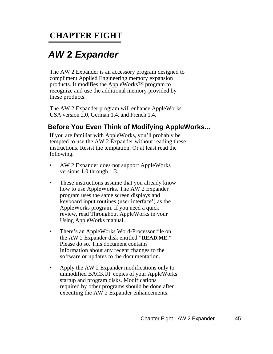### <span id="page-53-0"></span> **CHAPTER EIGHT**

### *AW* **2** *Expander*

The AW 2 Expander is an accessory program designed to compliment Applied Engineering memory expansion products. It modifies the AppleWorks™ program to recognize and use the additional memory provided by these products.

The AW 2 Expander program will enhance AppleWorks USA version 2.0, German 1.4, and French 1.4.

### **Before You Even Think of Modifying AppleWorks...**

If you are familiar with AppleWorks, you'll probably be tempted to use the AW 2 Expander without reading these instructions. Resist the temptation. Or at least read the following.

- AW 2 Expander does not support AppleWorks versions 1.0 through 1.3.
- These instructions assume that you already know how to use AppleWorks. The AW 2 Expander program uses the same screen displays and keyboard input routines (user interface') as the AppleWorks program. If you need a quick review, read Throughout AppleWorks in your Using AppleWorks manual.
- There's an AppleWorks Word-Processor file on the AW 2 Expander disk entitled **"READ.ME."**  Please do so. This document contains information about any recent changes to the software or updates to the documentation.
- Apply the AW 2 Expander modifications only to unmodified BACKUP copies of your AppleWorks startup and program disks. Modifications required by other programs should be done after executing the AW 2 Expander enhancements.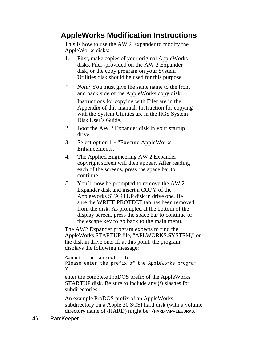### <span id="page-54-0"></span>**AppleWorks Modification Instructions**

This is how to use the AW 2 Expander to modify the AppleWorks disks:

- 1. First, make copies of your original AppleWorks disks. Filer ," provided on the AW 2 Expander disk, or the copy program on your System Utilities disk should be used for this purpose.
- *\* Note:* You must give the same name to the front and back side of the AppleWorks copy disk. Instructions for copying with Filer are in the Appendix of this manual. Instruction for copying with the System Utilities are in the IIGS System Disk User's Guide.
- 2. Boot the AW 2 Expander disk in your startup drive.
- 3. Select option 1 "Execute AppleWorks Enhancements."
- 4. The Applied Engineering AW 2 Expander copyright screen will then appear. After reading each of the screens, press the space bar to continue.
- 5. You'll now be prompted to remove the AW 2 Expander disk and insert a COPY of the AppleWorks STARTUP disk in drive one. Be sure the WRITE PROTECT tab has been removed from the disk. As prompted at the bottom of the display screen, press the space bar to continue or the escape key to go back to the main menu.

The AW2 Expander program expects to find the AppleWorks STARTUP file, "APLWORKS.SYSTEM," on the disk in drive one. If, at this point, the program displays the following message:

```
Cannot find correct file
Please enter the prefix of the AppleWorks program
?
```
enter the complete ProDOS prefix of the AppleWorks STARTUP disk. Be sure to include any (/) slashes for subdirectories.

An example ProDOS prefix of an AppleWorks subdirectory on a Apple 20 SCSI hard disk (with a volume directory name of /HARD) might be: /HARD/APPLEWORKS.

46 RamKeeper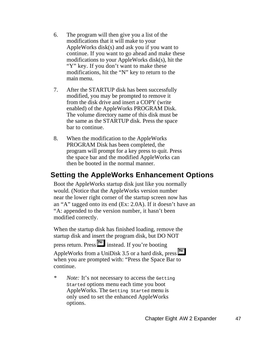- <span id="page-55-0"></span>6. The program will then give you a list of the modifications that it will make to your AppleWorks disk(s) and ask you if you want to continue. If you want to go ahead and make these modifications to your AppleWorks disk(s), hit the "Y" key. If you don't want to make these modifications, hit the "N" key to return to the main menu.
- 7. After the STARTUP disk has been successfully modified, you may be prompted to remove it from the disk drive and insert a COPY (write enabled) of the AppleWorks PROGRAM Disk. The volume directory name of this disk must be the same as the STARTUP disk. Press the space bar to continue.
- 8. When the modification to the AppleWorks PROGRAM Disk has been completed, the program will prompt for a key press to quit. Press the space bar and the modified AppleWorks can then be booted in the normal manner.

### **Setting the AppleWorks Enhancement Options**

Boot the AppleWorks startup disk just like you normally would. (Notice that the AppleWorks version number near the lower right corner of the startup screen now has an "A" tagged onto its end (Ex: 2.0A). If it doesn't have an "A: appended to the version number, it hasn't been modified correctly.

When the startup disk has finished loading, remove the startup disk and insert the program disk, but DO NOT press return. Press **instead.** If you're booting AppleWorks from a UniDisk 3.5 or a hard disk, press when you are prompted with: "Press the Space Bar to continue.

*\* Note:* It's not necessary to access the Getting Started options menu each time you boot AppleWorks. The Getting Started menu is only used to set the enhanced AppleWorks options.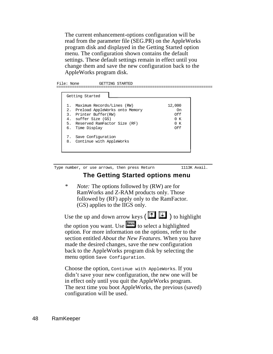The current enhancement-options configuration will be read from the parameter file (SEG.PR) on the AppleWorks program disk and displayed in the Getting Started option menu. The configuration shown contains the default settings. These default settings remain in effect until you change them and save the new configuration back to the AppleWorks program disk.

| Getting Started                      |        |
|--------------------------------------|--------|
| Maximum Records/Lines (RW)<br>1.     | 12,000 |
| 2.<br>Preload AppleWorks onto Memory | On     |
| 3. Printer Buffer(RW)                | Off    |
| 4. suffer Size (GS)                  | 0 K    |
| 5. Reserved RamFactor Size (RF)      | 0 K    |
| 6. Time Display                      | Off    |
| Save Configuration<br>7.             |        |
| 8. Continue with AppleWorks          |        |

Type number, or use arrows, then press Return 1113K Avail.

#### **The Getting Started options menu**

*\* Note:* The options followed by (RW) are for RamWorks and Z-RAM products only. Those followed by (RF) apply only to the RamFactor. (GS) applies to the IIGS only.

Use the up and down arrow keys  $(\mathbb{F} | \mathbb{F})$  to highlight

the option you want. Use  $\frac{F_{\text{thm}}}{F_{\text{th}}}\$  to select a highlighted option. For more information on the options, refer to the section entitled *About the New Features.* When you have made the desired changes, save the new configuration back to the AppleWorks program disk by selecting the menu option Save Configuration.

Choose the option, Continue with AppleWorks. If you didn't save your new configuration, the new one will be in effect only until you quit the AppleWorks program. The next time you boot AppleWorks, the previous (saved) configuration will be used.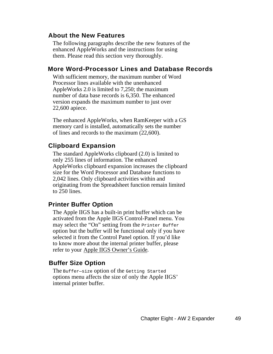#### <span id="page-57-0"></span>**About the New Features**

The following paragraphs describe the new features of the enhanced AppleWorks and the instructions for using them. Please read this section very thoroughly.

#### **More Word-Processor Lines and Database Records**

With sufficient memory, the maximum number of Word Processor lines available with the unenhanced AppleWorks 2.0 is limited to 7,250; the maximum number of data base records is 6,350. The enhanced version expands the maximum number to just over 22,600 apiece.

The enhanced AppleWorks, when RamKeeper with a GS memory card is installed, automatically sets the number of lines and records to the maximum (22,600).

### **Clipboard Expansion**

The standard AppleWorks clipboard (2.0) is limited to only 255 lines of information. The enhanced AppleWorks clipboard expansion increases the clipboard size for the Word Processor and Database functions to 2,042 lines. Only clipboard activities within and originating from the Spreadsheet function remain limited to 250 lines.

### **Printer Buffer Option**

The Apple IIGS has a built-in print buffer which can be activated from the Apple IIGS Control-Panel menu. You may select the "On" setting from the Printer Buffer option but the buffer will be functional only if you have selected it from the Control Panel option. If you'd like to know more about the internal printer buffer, please refer to your Apple IIGS Owner's Guide.

### **Buffer Size Option**

The Buffer-size option of the Getting Started options menu affects the size of only the Apple IIGS' internal printer buffer.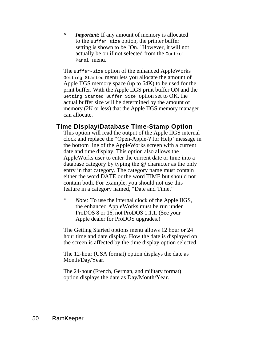<span id="page-58-0"></span>*\* Important:* If any amount of memory is allocated to the Buffer size option, the printer buffer setting is shown to be "On." However, it will not actually be on if not selected from the Control Panel menu.

The Buffer-Size option of the enhanced AppleWorks Getting Started menu lets you allocate the amount of Apple IIGS memory space (up to 64K) to be used for the print buffer. With the Apple IIGS print buffer ON and the Getting Started Buffer Size Option set to  $OK$ , the actual buffer size will be determined by the amount of memory (2K or less) that the Apple IIGS memory manager can allocate.

#### **Time Display/Database Time-Stamp Option**

This option will read the output of the Apple IIGS internal clock and replace the "Open-Apple-? for Help' message in the bottom line of the AppleWorks screen with a current date and time display. This option also allows the AppleWorks user to enter the current date or time into a database category by typing the @ character as the only entry in that category. The category name must contain either the word DATE or the word TIME but should not contain both. For example, you should not use this feature in a category named, "Date and Time."

\* *Note:* To use the internal clock of the Apple IIGS, the enhanced AppleWorks must be run under ProDOS 8 or 16, not ProDOS 1.1.1. (See your Apple dealer for ProDOS upgrades.)

The Getting Started options menu allows 12 hour or 24 hour time and date display. How the date is displayed on the screen is affected by the time display option selected.

The 12-hour (USA format) option displays the date as Month/Day/Year.

The 24-hour (French, German, and military format) option displays the date as Day/Month/Year.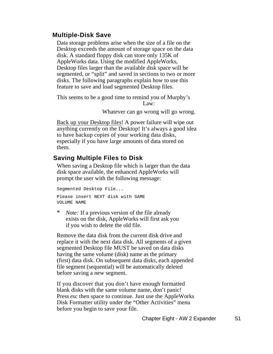### <span id="page-59-0"></span>**Multiple-Disk Save**

Data storage problems arise when the size of a file on the Desktop exceeds the amount of storage space on the data disk. A standard floppy disk can store only 135K of AppleWorks data. Using the modified AppleWorks, Desktop files larger than the available disk space will be segmented, or "split" and saved in sections to two or more disks. The following paragraphs explain how to use this feature to save and load segmented Desktop files.

This seems to be a good time to remind you of Murphy's Law:

Whatever can go wrong will go wrong.

Back up your Desktop files! A power failure will wipe out anything currently on the Desktop! It's always a good idea to have backup copies of your working data disks, especially if you have large amounts of data stored on them.

### **Saving Multiple Files to Disk**

When saving a Desktop file which is larger than the data disk space available, the enhanced AppleWorks will prompt the user with the following message:

Segmented Desktop File... Please insert NEXT disk with SAME VOLUME NAME

\* *Note:* If a previous version of the file already exists on the disk, AppleWorks will first ask you if you wish to delete the old file.

Remove the data disk from the current disk drive and replace it with the next data disk. All segments of a given segmented Desktop file MUST be saved on data disks having the same volume (disk) name as the primary (first) data disk. On subsequent data disks, each appended file segment (sequential) will be automatically deleted before saving a new segment.

If you discover that you don't have enough formatted blank disks with the same volume name, don't panic! Press *esc* then space to continue. Just use the AppleWorks Disk Formatter utility under the "Other Activities" menu before you begin to save your file.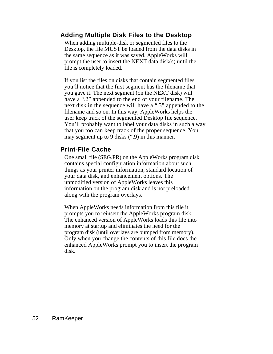### <span id="page-60-0"></span>**Adding Multiple Disk Files to the Desktop**

When adding multiple-disk or segmented files to the Desktop, the file MUST be loaded from the data disks in the same sequence as it was saved. AppleWorks will prompt the user to insert the NEXT data disk(s) until the file is completely loaded.

If you list the files on disks that contain segmented files you'll notice that the first segment has the filename that you gave it. The next segment (on the NEXT disk) will have a ".2" appended to the end of your filename. The next disk in the sequence will have a ".3" appended to the filename and so on. In this way, AppleWorks helps the user keep track of the segmented Desktop file sequence. You'll probably want to label your data disks in such a way that you too can keep track of the proper sequence. You may segment up to 9 disks (".9) in this manner.

### **Print-File Cache**

One small file (SEG.PR) on the AppleWorks program disk contains special configuration information about such things as your printer information, standard location of your data disk, and enhancement options. The unmodified version of AppleWorks leaves this information on the program disk and is not preloaded along with the program overlays.

When AppleWorks needs information from this file it prompts you to reinsert the AppleWorks program disk. The enhanced version of AppleWorks loads this file into memory at startup and eliminates the need for the program disk (until overlays are bumped from memory). Only when you change the contents of this file does the enhanced AppleWorks prompt you to insert the program disk.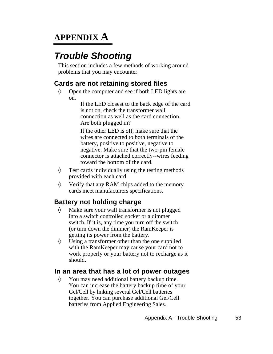### <span id="page-61-0"></span> **APPENDIX A**

### *Trouble Shooting*

This section includes a few methods of working around problems that you may encounter.

### **Cards are not retaining stored files**

Open the computer and see if both LED lights are on.

> If the LED closest to the back edge of the card is not on, check the transformer wall connection as well as the card connection. Are both plugged in?

If the other LED is off, make sure that the wires are connected to both terminals of the battery, positive to positive, negative to negative. Make sure that the two-pin female connector is attached correctly--wires feeding toward the bottom of the card.

Test cards individually using the testing methods provided with each card.

Verify that any RAM chips added to the memory cards meet manufacturers specifications.

### **Battery not holding charge**

Make sure your wall transformer is not plugged into a switch controlled socket or a dimmer switch. If it is, any time you turn off the switch (or turn down the dimmer) the RamKeeper is getting its power from the battery. Using a transformer other than the one supplied with the RamKeeper may cause your card not to work properly or your battery not to recharge as it should.

### **In an area that has a lot of power outages**

You may need additional battery backup time. You can increase the battery backup time of your Gel/Cell by linking several Gel/Cell batteries together. You can purchase additional Gel/Cell batteries from Applied Engineering Sales.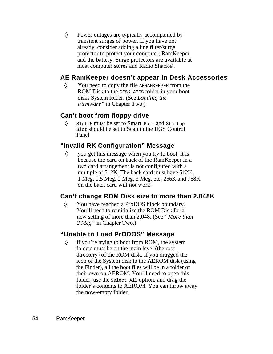Power outages are typically accompanied by transient surges of power. If you have not already, consider adding a line filter/surge protector to protect your computer, RamKeeper and the battery. Surge protectors are available at most computer stores and Radio Shack®.

### **AE RamKeeper doesn't appear in Desk Accessories**

You need to copy the file AERAMKEEPER from the ROM Disk to the DESK. ACCS folder in your boot disks System folder. (See *Loading the Firmware"* in Chapter Two.)

### **Can't boot from floppy drive**

Slot 5 must be set to Smart Port and Startup Slot should be set to Scan in the IIGS Control Panel.

### **"Invalid RK Configuration" Message**

you get this message when you try to boot, it is because the card on back of the RamKeeper in a two card arrangement is not configured with a multiple of 512K. The back card must have 512K, 1 Meg, 1.5 Meg, 2 Meg, 3 Meg, etc; 256K and 768K on the back card will not work.

### **Can't change ROM Disk size to more than 2,048K**

You have reached a ProDOS block boundary. You'll need to reinitialize the ROM Disk for a new setting of more than 2,048. (See *"More than 2 Meg"* in Chapter Two.)

### **"Unable to Load PrODOS" Message**

If you're trying to boot from ROM, the system folders must be on the main level (the root directory) of the ROM disk. If you dragged the icon of the System disk to the AEROM disk (using the Finder), all the boot files will be in a folder of their own on AEROM. You'll need to open this folder, use the Select All option, and drag the folder's contents to AEROM. You can throw away the now-empty folder.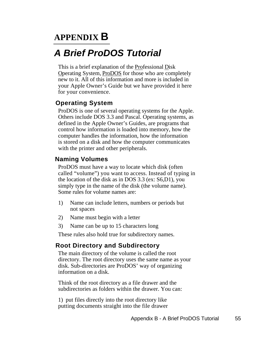### <span id="page-63-0"></span> **APPENDIX B**

## *A Brief ProDOS Tutorial*

This is a brief explanation of the Professional Disk Operating System, ProDOS for those who are completely new to it. All of this information and more is included in your Apple Owner's Guide but we have provided it here for your convenience.

### **Operating System**

ProDOS is one of several operating systems for the Apple. Others include DOS 3.3 and Pascal. Operating systems, as defined in the Apple Owner's Guides, are programs that control how information is loaded into memory, how the computer handles the information, how the information is stored on a disk and how the computer communicates with the printer and other peripherals.

### **Naming Volumes**

ProDOS must have a way to locate which disk (often called "volume") you want to access. Instead of typing in the location of the disk as in DOS 3.3 (ex: S6,D1), you simply type in the name of the disk (the volume name). Some rules for volume names are:

- 1) Name can include letters, numbers or periods but not spaces
- 2) Name must begin with a letter
- 3) Name can be up to 15 characters long

These rules also hold true for subdirectory names.

### **Root Directory and Subdirectory**

The main directory of the volume is called the root directory. The root directory uses the same name as your disk. Sub-directories are ProDOS' way of organizing information on a disk.

Think of the root directory as a file drawer and the subdirectories as folders within the drawer. You can:

1) put files directly into the root directory like putting documents straight into the file drawer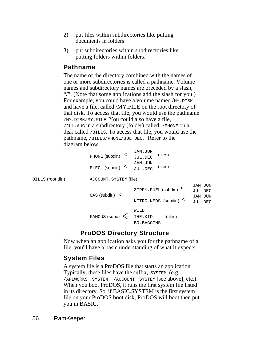- 2) put files within subdirectories like putting documents in folders
- 3) put subdirectories within subdirectories like putting folders within folders.

### **Pathname**

The name of the directory combined with the names of one or more subdirectories is called a pathname. Volume names and subdirectory names are preceded by a slash, "/". (Note that some applications add the slash for you.) For example, you could have a volume named /MY. DISK and have a file, called /MY.FILE on the root directory of that disk. To access that file, you would use the pathname /MY.DISK/MY.FILE. You could also have a file, /JUL.AUG in a subdirectory (folder) called, /PHONE on a disk called /BILLS. To access that file, you would use the pathname, /BILLS/PHONE/JUL.DEC. Refer to the diagram below.

|                   | PHONE (subdir.) $\leq$<br>ELEC. (subdir.) $\leq$ | JAN.JUN<br>JUL.DEC<br>JAN.JUN<br>JUL.DEC | (files)<br>(files)     |                    |  |
|-------------------|--------------------------------------------------|------------------------------------------|------------------------|--------------------|--|
| BILLS (root dir.) | ACCOUNT. SYSTEM (file)                           |                                          |                        |                    |  |
|                   | $GAS$ (subdir.) $\leq$                           | ZIPPY. FUEL (subdir.) <                  |                        | JAN.JUN<br>JUL.DEC |  |
|                   |                                                  |                                          | NTTRO.NEDS (subdir.) < | JAN.JUN<br>JUL.DEC |  |
|                   | FAMOUS (subdir. $\leftarrow$ THE. KID            | WILD<br><b>BO.BAGGINS</b>                | (files)                |                    |  |

### **ProDOS Directory Structure**

Now when an application asks you for the pathname of a file, you'll have a basic understanding of what it expects.

### **System Files**

A system file is a ProDOS file that starts an application. Typically, these files have the suffix,  $SYSTEM$  (e.g. /APLWORKS . SYSTEM, /ACCOUNT . SYSTEM [see above], etc.). When you boot ProDOS, it runs the first system file listed in its directory. So, if BASIC.SYSTEM is the first system file on your ProDOS boot disk, ProDOS will boot then put you in BASIC.

56 RamKeeper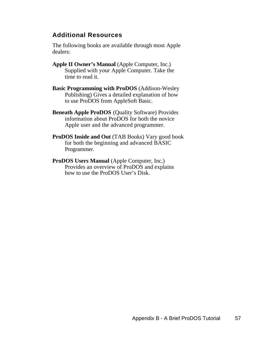### **Additional Resources**

The following books are available through most Apple dealers:

- **Apple II Owner's Manual** (Apple Computer, Inc.) Supplied with your Apple Computer. Take the time to read it.
- **Basic Programming with ProDOS** (Addison-Wesley Publishing) Gives a detailed explanation of how to use ProDOS from AppleSoft Basic.
- **Beneath Apple ProDOS** (Quality Software) Provides information about ProDOS for both the novice Apple user and the advanced programmer.
- **ProDOS Inside and Out** (TAB Books) Vary good book for both the beginning and advanced BASIC Programmer.
- **ProDOS Users Manual** (Apple Computer, Inc.) Provides an overview of ProDOS and explains how to use the ProDOS User's Disk.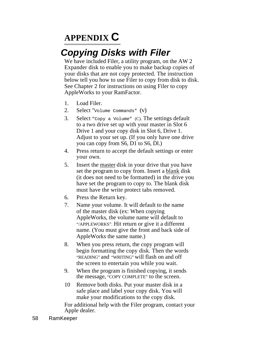## <span id="page-66-0"></span>**APPENDIX C**

### *Copying Disks with Filer*

We have included Filer, a utility program, on the AW 2 Expander disk to enable you to make backup copies of your disks that are not copy protected. The instruction below tell you how to use Filer to copy from disk to disk. See Chapter 2 for instructions on using Filer to copy AppleWorks to your RamFactor.

- 1. Load Filer.
- 2. Select "Volume Commands" (v)
- 3. Select "Copy a Volume" (C). The settings default to a two drive set up with your master in Slot 6 Drive 1 and your copy disk in Slot 6, Drive 1. Adjust to your set up. (If you only have one drive you can copy from S6, D1 to S6, Dl.)
- 4. Press return to accept the default settings or enter your own.
- 5. Insert the master disk in your drive that you have set the program to copy from. Insert a blank disk (it does not need to be formatted) in the drive you have set the program to copy to. The blank disk must have the write protect tabs removed.
- 6. Press the Return key.
- 7. Name your volume. It will default to the name of the master disk (ex: When copying AppleWorks, the volume name will default to "/APPLEWORKS". Hit return or give it a different name. (You must give the front and back side of AppleWorks the same name.)
- 8. When you press return, the copy program will begin formatting the copy disk. Then the words "READING" and "WRITING" will flash on and off the screen to entertain you while you wait.
- 9. When the program is finished copying, it sends the message, "COPY COMPLETE" to the screen.
- 10 Remove both disks. Put your master disk in a safe place and label your copy disk. You will make your modifications to the copy disk.

For additional help with the Filer program, contact your Apple dealer.

58 RamKeeper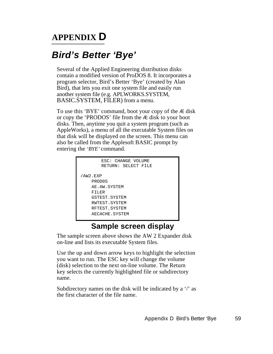### <span id="page-67-0"></span> **APPENDIX D**

### *Bird's Better 'Bye'*

Several of the Applied Engineering distribution disks contain a modified version of ProDOS 8. It incorporates a program selector, Bird's Better 'Bye' (created by Alan Bird), that lets you exit one system file and easily run another system file (e.g. APLWORKS.SYSTEM, BASIC.SYSTEM, FILER) from a menu.

To use this 'BYE' command, boot your copy of the Æ disk or copy the 'PRODOS' file from the Æ disk to your boot disks. Then, anytime you quit a system program (such as AppleWorks), a menu of all the executable System files on that disk will be displayed on the screen. This menu can also be called from the Applesoft BASIC prompt by entering the *'BYE'* command.

```
ESC: CHANGE VOLUME 
       RETURN: SELECT FILE
/AW2.EXP
  PROD0S
  AE.AW.SYSTEM
  FILER
   GSTEST.SYSTEM
   RWTEST.SYSTEM
   RFTEST.SYSTEM
   AECACHE.SYSTEM
```
### **Sample screen display**

The sample screen above shows the AW 2 Expander disk on-line and lists its executable System files.

Use the up and down arrow keys to highlight the selection you want to run. The ESC key will change the volume (disk) selection to the next on-line volume. The Return key selects the currently highlighted file or subdirectory name.

Subdirectory names on the disk will be indicated by a '/' as the first character of the file name.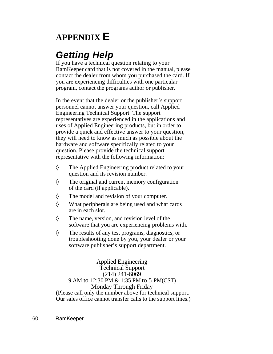### <span id="page-68-0"></span>**APPENDIX E**

### *Getting Help*

If you have a technical question relating to your RamKeeper card that is not covered in the manual, please contact the dealer from whom you purchased the card. If you are experiencing difficulties with one particular program, contact the programs author or publisher.

In the event that the dealer or the publisher's support personnel cannot answer your question, call Applied Engineering Technical Support. The support representatives are experienced in the applications and uses of Applied Engineering products, but in order to provide a quick and effective answer to your question, they will need to know as much as possible about the hardware and software specifically related to your question. Please provide the technical support representative with the following information:

The Applied Engineering product related to your question and its revision number.

The original and current memory configuration of the card (if applicable).

The model and revision of your computer.

What peripherals are being used and what cards are in each slot.

The name, version, and revision level of the software that you are experiencing problems with.

The results of any test programs, diagnostics, or troubleshooting done by you, your dealer or your software publisher's support department.

Applied Engineering Technical Support (214) 241-6069 9 AM to 12:30 PM & 1:35 PM to 5 PM(CST) Monday Through Friday (Please call only the number above for technical support.

Our sales office cannot transfer calls to the support lines.)

60 RamKeeper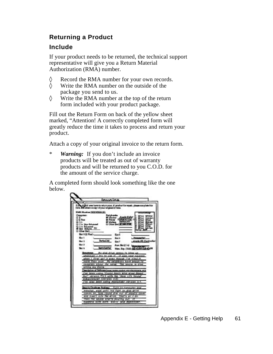### **Returning a Product**

### **Include**

If your product needs to be returned, the technical support representative will give you a Return Material Authorization (RMA) number.

Record the RMA number for your own records. Write the RMA number on the outside of the package you send to us. Write the RMA number at the top of the return form included with your product package.

Fill out the Return Form on back of the yellow sheet marked, "Attention! A correctly completed form will greatly reduce the time it takes to process and return your product.

Attach a copy of your original invoice to the return form.

\* *Warning:* If you don't include an invoice products will be treated as out of warranty products and will be returned to you C.O.D. for the amount of the service charge.

A completed form should look something like the one below.